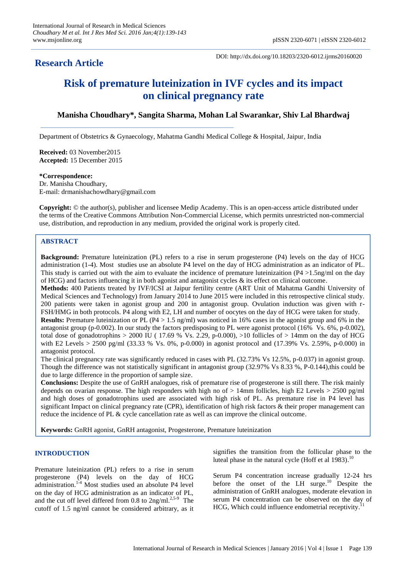# **Research Article**

DOI: http://dx.doi.org/10.18203/2320-6012.ijrms20160020

# **Risk of premature luteinization in IVF cycles and its impact on clinical pregnancy rate**

# **Manisha Choudhary\*, Sangita Sharma, Mohan Lal Swarankar, Shiv Lal Bhardwaj**

Department of Obstetrics & Gynaecology, Mahatma Gandhi Medical College & Hospital, Jaipur, India

**Received:** 03 November2015 **Accepted:** 15 December 2015

### **\*Correspondence:**

Dr. Manisha Choudhary, E-mail: drmanishachowdhary@gmail.com

**Copyright:** © the author(s), publisher and licensee Medip Academy. This is an open-access article distributed under the terms of the Creative Commons Attribution Non-Commercial License, which permits unrestricted non-commercial use, distribution, and reproduction in any medium, provided the original work is properly cited.

## **ABSTRACT**

**Background:** Premature luteinization (PL) refers to a rise in serum progesterone (P4) levels on the day of HCG administration (1-4). Most studies use an absolute P4 level on the day of HCG administration as an indicator of PL. This study is carried out with the aim to evaluate the incidence of premature luteinizaition  $(P4 > 1.5$ ng/ml on the day of HCG) and factors influencing it in both agonist and antagonist cycles & its effect on clinical outcome.

**Methods:** 400 Patients treated by IVF/ICSI at Jaipur fertility centre (ART Unit of Mahatma Gandhi University of Medical Sciences and Technology) from January 2014 to June 2015 were included in this retrospective clinical study. 200 patients were taken in agonist group and 200 in antagonist group. Ovulation induction was given with r-FSH/HMG in both protocols. P4 along with E2, LH and number of oocytes on the day of HCG were taken for study. **Results:** Premature luteinization or PL (P4 > 1.5 ng/ml) was noticed in 16% cases in the agonist group and 6% in the antagonist group (p-0.002). In our study the factors predisposing to PL were agonist protocol (16% Vs. 6%, p-0.002), total dose of gonadotrophins  $> 2000$  IU (17.69 % Vs. 2.29, p-0.000),  $>10$  follicles of  $> 14$ mm on the day of HCG with E2 Levels > 2500 pg/ml (33.33 % Vs. 0%, p-0.000) in agonist protocol and (17.39% Vs. 2.59%, p-0.000) in

antagonist protocol.

The clinical pregnancy rate was significantly reduced in cases with PL (32.73% Vs 12.5%, p-0.037) in agonist group. Though the difference was not statistically significant in antagonist group (32.97% Vs 8.33 %, P-0.144),this could be due to large difference in the proportion of sample size.

**Conclusions:** Despite the use of GnRH analogues, risk of premature rise of progesterone is still there. The risk mainly depends on ovarian response. The high responders with high no of > 14mm follicles, high E2 Levels > 2500 pg/ml and high doses of gonadotrophins used are associated with high risk of PL. As premature rise in P4 level has significant Impact on clinical pregnancy rate (CPR), identification of high risk factors & their proper management can reduce the incidence of PL & cycle cancellation rate as well as can improve the clinical outcome.

**Keywords:** GnRH agonist, GnRH antagonist, Progesterone, Premature luteinization

## **INTRODUCTION**

Premature luteinization (PL) refers to a rise in serum progesterone (P4) levels on the day of HCG administration. 1-4 Most studies used an absolute P4 level on the day of HCG administration as an indicator of PL, and the cut off level differed from 0.8 to  $2ng/ml$ .<sup>2,5-9</sup> The cutoff of 1.5 ng/ml cannot be considered arbitrary, as it signifies the transition from the follicular phase to the luteal phase in the natural cycle (Hoff et al  $1983$ ).<sup>10</sup>

Serum P4 concentration increase gradually 12-24 hrs before the onset of the LH surge.<sup>10</sup> Despite the administration of GnRH analogues, moderate elevation in serum P4 concentration can be observed on the day of HCG, Which could influence endometrial receptivity.<sup>11</sup>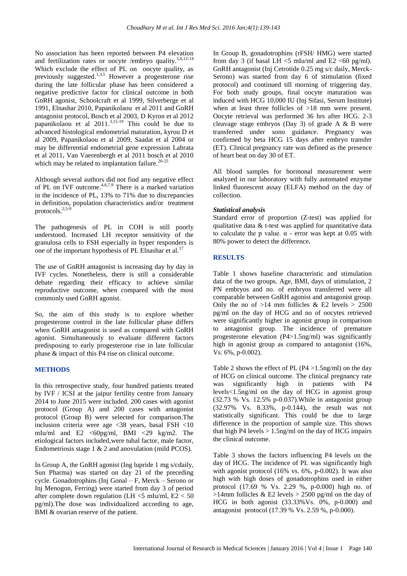No association has been reported between P4 elevation and fertilization rates or oocyte /embryo quality.<sup>5,6,12-14</sup> Which exclude the effect of PL on oocyte quality, as previously suggested.<sup>1,3,5</sup> However a progesterone rise during the late follicular phase has been considered a negative predictive factor for clinical outcome in both GnRH agonist, Schoolcraft et al 1999, Silverberge et al 1991, Elnashar 2010, Papanikolaou et al 2011 and GnRH antagonist protocol, Bosch et al 2003, D Kyron et al 2012 papanikolaou et al 2011.<sup>3,15-19</sup> This could be due to advanced histological endometrial maturation, kyrou D et al 2009, Papanikolaou et al 2009, Saadat et al 2004 or may be differential endometrial gene expression Labrata et al 2011, Van Vaerenbergh et al 2011 bosch et al 2010 which may be related to implantation failure.  $20-25$ 

Although several authors did not find any negative effect of PL on IVF outcome. 4,6,7,9 There is a marked variation in the incidence of PL, 13% to 71% due to discrepancies in definition, population characteristics and/or treatment protocols. $2,5-\frac{6}{5}$ 

The pathogenesis of PL in COH is still poorly understood. Increased LH receptor sensitivity of the granulosa cells to FSH especially in hyper responders is one of the important hypothesis of PL Elnashar et al.<sup>17</sup>

The use of GnRH antagonist is increasing day by day in IVF cycles. Nonetheless, there is still a considerable debate regarding their efficacy to achieve similar reproductive outcome, when compared with the most commonly used GnRH agonist.

So, the aim of this study is to explore whether progesterone control in the late follicular phase differs when GnRH antagonist is used as compared with GnRH agonist. Simultaneously to evaluate different factors predisposing to early progesterone rise in late follicular phase & impact of this P4 rise on clinical outcome.

#### **METHODS**

In this retrospective study, four hundred patients treated by IVF / ICSI at the jaipur fertility centre from January 2014 to June 2015 were included. 200 cases with agonist protocol (Group A) and 200 cases with antagonist protocol (Group B) were selected for comparison.The inclusion criteria were age <38 years, basal FSH <10 mIu/ml and E2 <60pg/ml, BMI <29 kg/m2. The etiological factors included,were tubal factor, male factor, Endometriosis stage 1 & 2 and anovulation (mild PCOS).

In Group A, the GnRH agonist (Ing lupride 1 mg s/cdaily, Sun Pharma) was started on day 21 of the preceding cycle. Gonadotrophins (Inj Gonal – F, Merck – Serono or Inj Menogon, Ferring) were started from day 3 of period after complete down regulation (LH  $<$ 5 mIu/ml, E2  $<$  50 pg/ml).The dose was individualized according to age, BMI & ovarian reserve of the patient.

In Group B, gonadotrophins (rFSH/ HMG) were started from day 3 (if basal LH  $\leq$ 5 mIu/ml and E2  $\leq$ 60 pg/ml). GnRH antagonist (Inj Cetrotide 0.25 mg s/c daily, Merck-Serono) was started from day 6 of stimulation (fixed protocol) and continued till morning of triggering day. For both study groups, final oocyte maturation was induced with HCG 10,000 IU (Inj Sifasi, Serum Institute) when at least three follicles of >18 mm were present. Oocyte retrieval was performed 36 hrs after HCG. 2-3 cleavage stage embryos (Day 3) of grade A & B were transferred under sono guidance. Pregnancy was confirmed by beta HCG 15 days after embryo transfer (ET). Clinical pregnancy rate was defined as the presence of heart beat on day 30 of ET.

All blood samples for hormonal measurement were analyzed in our laboratory with fully automated enzyme linked fluorescent assay (ELFA) method on the day of collection.

#### *Statistical analysis*

Standard error of proportion (Z-test) was applied for qualitative data  $&$  t-test was applied for quantitative data to calculate the p value. α - error was kept at 0.05 with 80% power to detect the difference**.**

## **RESULTS**

Table 1 shows baseline characteristic and stimulation data of the two groups. Age, BMI, days of stimulation, 2 PN embryos and no. of embryos transferred were all comparable between GnRH agonist and antagonist group. Only the no of  $>14$  mm follicles & E2 levels  $> 2500$ pg/ml on the day of HCG and no of oocytes retrieved were significantly higher in agonist group in comparison to antagonist group. The incidence of premature progesterone elevation (P4>1.5ng/ml) was significantly high in agonist group as compared to antagonist (16%, Vs. 6%, p-0.002).

Table 2 shows the effect of PL ( $P4 > 1.5$ ng/ml) on the day of HCG on clinical outcome. The clinical pregnancy rate was significantly high in patients with P4 levels<1.5ng/ml on the day of HCG in agonist group (32.73 % Vs. 12.5% p-0.037).While in antagonist group (32.97% Vs. 8.33%, p-0.144), the result was not statistically significant. This could be due to large difference in the proportion of sample size. This shows that high P4 levels  $> 1.5$ ng/ml on the day of HCG impairs the clinical outcome.

Table 3 shows the factors influencing P4 levels on the day of HCG. The incidence of PL was significantly high with agonist protocol (16% vs. 6%, p-0.002). It was also high with high doses of gonadotrophins used in either protocol (17.69 % Vs. 2.29 %, p-0.000) high no. of  $>14$ mm follicles & E2 levels  $> 2500$  pg/ml on the day of HCG in both agonist (33.33%Vs. 0%, p-0.000) and antagonist protocol (17.39 % Vs. 2.59 %, p-0.000).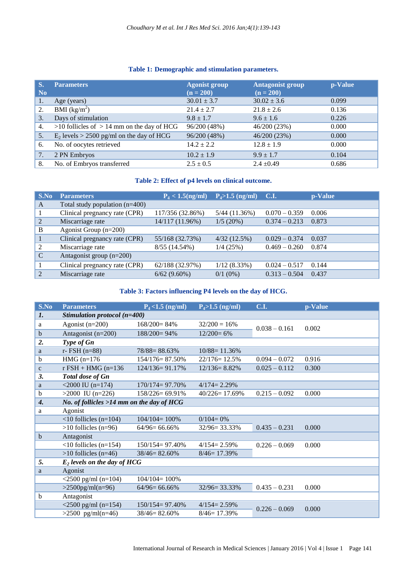# **Table 1: Demographic and stimulation parameters.**

| S.<br>N <sub>0</sub> | <b>Parameters</b>                              | <b>Agonist group</b><br>$(n = 200)$ | <b>Antagonist group</b><br>$(n = 200)$ | p-Value |
|----------------------|------------------------------------------------|-------------------------------------|----------------------------------------|---------|
| 1.                   | Age (years)                                    | $30.01 \pm 3.7$                     | $30.02 \pm 3.6$                        | 0.099   |
| 2.                   | BMI $(kg/m^2)$                                 | $21.4 \pm 2.7$                      | $21.8 \pm 2.6$                         | 0.136   |
| 3.                   | Days of stimulation                            | $9.8 \pm 1.7$                       | $9.6 \pm 1.6$                          | 0.226   |
| 4.                   | $>10$ follicles of $> 14$ mm on the day of HCG | 96/200 (48%)                        | 46/200 (23%)                           | 0.000   |
| 5.                   | $E_2$ levels > 2500 pg/ml on the day of HCG    | 96/200 (48%)                        | 46/200 (23%)                           | 0.000   |
| 6.                   | No. of oocytes retrieved                       | $14.2 \pm 2.2$                      | $12.8 \pm 1.9$                         | 0.000   |
| 7.                   | 2 PN Embryos                                   | $10.2 \pm 1.9$                      | $9.9 \pm 1.7$                          | 0.104   |
| 8.                   | No. of Embryos transferred                     | $2.5 \pm 0.5$                       | $2.4 \pm 0.49$                         | 0.686   |

# **Table 2: Effect of p4 levels on clinical outcome.**

| S.No           | <b>Parameters</b>                | $P_4 < 1.5$ (ng/ml) | $P_4 > 1.5$ (ng/ml) C.I. |                 | p-Value |
|----------------|----------------------------------|---------------------|--------------------------|-----------------|---------|
| A              | Total study population $(n=400)$ |                     |                          |                 |         |
| 1              | Clinical pregnancy rate (CPR)    | 117/356 (32.86%)    | $5/44$ (11.36%)          | $0.070 - 0.359$ | 0.006   |
| 2              | Miscarriage rate                 | 14/117 (11.96%)     | 1/5(20%)                 | $0.374 - 0.213$ | 0.873   |
| B              | Agonist Group $(n=200)$          |                     |                          |                 |         |
| 1              | Clinical pregnancy rate (CPR)    | 55/168 (32.73%)     | 4/32(12.5%)              | $0.029 - 0.374$ | 0.037   |
| 2              | Miscarriage rate                 | $8/55(14.54\%)$     | 1/4(25%)                 | $0.469 - 0.260$ | 0.874   |
| $\mathcal{C}$  | Antagonist group $(n=200)$       |                     |                          |                 |         |
|                | Clinical pregnancy rate (CPR)    | 62/188 (32.97%)     | $1/12(8.33\%)$           | $0.024 - 0.517$ | 0.144   |
| $\overline{2}$ | Miscarriage rate                 | $6/62(9.60\%)$      | $0/1$ (0%)               | $0.313 - 0.504$ | 0.437   |

# **Table 3: Factors influencing P4 levels on the day of HCG.**

| S.No             | <b>Parameters</b>                              | $P_4 < 1.5$ (ng/ml) | $P_4 > 1.5$ (ng/ml) | <b>C.I.</b>     | p-Value |  |  |
|------------------|------------------------------------------------|---------------------|---------------------|-----------------|---------|--|--|
| $\mathbf{1}$ .   | Stimulation protocol (n=400)                   |                     |                     |                 |         |  |  |
| a                | Agonist $(n=200)$                              | $168/200 = 84%$     | $32/200 = 16%$      | $0.038 - 0.161$ | 0.002   |  |  |
| $\mathbf b$      | Antagonist (n=200)                             | $188/200 = 94\%$    | $12/200 = 6\%$      |                 |         |  |  |
| 2.               | Type of Gn                                     |                     |                     |                 |         |  |  |
| a                | $r-$ FSH $(n=88)$                              | $78/88 = 88.63\%$   | $10/88 = 11.36%$    |                 |         |  |  |
| $\mathbf b$      | $HMG (n=176)$                                  | 154/176=87.50%      | $22/176=12.5%$      | $0.094 - 0.072$ | 0.916   |  |  |
| $\mathbf c$      | $r$ FSH + HMG ( $n=136$                        | $124/136=91.17%$    | $12/136 = 8.82\%$   | $0.025 - 0.112$ | 0.300   |  |  |
| 3.               | <b>Total dose of Gn</b>                        |                     |                     |                 |         |  |  |
| a                | $<$ 2000 IU (n=174)                            | $170/174 = 97.70\%$ | $4/174 = 2.29%$     |                 |         |  |  |
| $\mathbf b$      | $>2000$ IU (n=226)                             | 158/226=69.91%      | $40/226=17.69\%$    | $0.215 - 0.092$ | 0.000   |  |  |
| $\overline{4}$ . | No. of follicles $>14$ mm on the day of HCG    |                     |                     |                 |         |  |  |
| a                | Agonist                                        |                     |                     |                 |         |  |  |
|                  | $\langle 10 \text{ follicles (n=104)} \rangle$ | $104/104 = 100%$    | $0/104 = 0%$        |                 |         |  |  |
|                  | $>10$ follicles (n=96)                         | $64/96 = 66.66\%$   | $32/96 = 33.33\%$   | $0.435 - 0.231$ | 0.000   |  |  |
| $\mathbf b$      | Antagonist                                     |                     |                     |                 |         |  |  |
|                  | $\langle$ 10 follicles (n=154)                 | $150/154 = 97.40\%$ | $4/154 = 2.59%$     | $0.226 - 0.069$ | 0.000   |  |  |
|                  | $>10$ follicles (n=46)                         | $38/46 = 82.60\%$   | $8/46 = 17.39\%$    |                 |         |  |  |
| 5.               | $E_2$ levels on the day of HCG                 |                     |                     |                 |         |  |  |
| a                | Agonist                                        |                     |                     |                 |         |  |  |
|                  | $<$ 2500 pg/ml (n=104)                         | $104/104 = 100%$    |                     |                 |         |  |  |
|                  | $>2500$ pg/ml(n=96)                            | $64/96 = 66.66\%$   | $32/96 = 33.33%$    | $0.435 - 0.231$ | 0.000   |  |  |
| $\mathbf b$      | Antagonist                                     |                     |                     |                 |         |  |  |
|                  | $<$ 2500 pg/ml (n=154)                         | $150/154 = 97.40\%$ | $4/154 = 2.59\%$    | $0.226 - 0.069$ | 0.000   |  |  |
|                  | $>2500$ pg/ml(n=46)                            | $38/46 = 82.60\%$   | $8/46 = 17.39%$     |                 |         |  |  |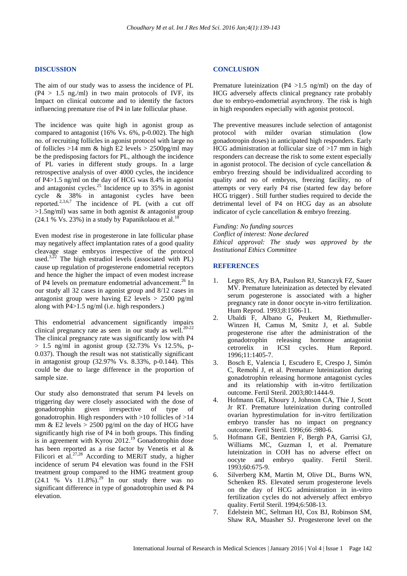#### **DISCUSSION**

The aim of our study was to assess the incidence of PL  $(P4 > 1.5$  ng./ml) in two main protocols of IVF, its Impact on clinical outcome and to identify the factors influencing premature rise of P4 in late follicular phase.

The incidence was quite high in agonist group as compared to antagonist (16% Vs. 6%, p-0.002). The high no. of recruiting follicles in agonist protocol with large no of follicles  $>14$  mm & high E2 levels  $> 2500$ pg/ml may be the predisposing factors for PL, although the incidence of PL varies in different study groups. In a large retrospective analysis of over 4000 cycles, the incidence of P4>1.5 ng/ml on the day of HCG was 8.4% in agonist and antagonist cycles. <sup>25</sup> Incidence up to 35% in agonist cycle & 38% in antagonist cycles have been reported.<sup>2,3,6,7</sup> The incidence of PL (with a cut off  $>1.5$ ng/ml) was same in both agonist & antagonist group  $(24.1\%$  Vs. 23%) in a study by Papanikolaou et al.<sup>18</sup>

Even modest rise in progesterone in late follicular phase may negatively affect implantation rates of a good quality cleavage stage embryos irrespective of the protocol used. $3,22$  The high estradiol levels (associated with PL) cause up regulation of progesterone endometrial receptors and hence the higher the impact of even modest increase of P4 levels on premature endometrial advancement. <sup>26</sup> In our study all 32 cases in agonist group and 8/12 cases in antagonist group were having E2 levels > 2500 pg/ml along with P4>1.5 ng/ml (i.e. high responders.)

This endometrial advancement significantly impairs clinical pregnancy rate as seen in our study as well.<sup>20-22</sup> The clinical pregnancy rate was significantly low with P4  $> 1.5$  ng/ml in agonist group (32.73% Vs 12.5%, p-0.037). Though the result was not statistically significant in antagonist group (32.97% Vs. 8.33%, p-0.144). This could be due to large difference in the proportion of sample size.

Our study also demonstrated that serum P4 levels on triggering day were closely associated with the dose of gonadotrophin given irrespective of type of gonadotrophin. High responders with >10 follicles of >14 mm  $\&$  E2 levels > 2500 pg/ml on the day of HCG have significantly high rise of P4 in both groups. This finding is in agreement with Kyrou 2012.<sup>19</sup> Gonadotrophin dose has been reported as a rise factor by Venetis et al & Filicori et al.<sup>27,28</sup> According to MERIT study, a higher incidence of serum P4 elevation was found in the FSH treatment group compared to the HMG treatment group  $(24.1 \t% \tVs \t11.8\t%).^{29}$  In our study there was no significant difference in type of gonadotrophin used & P4 elevation.

#### **CONCLUSION**

Premature luteinization (P4  $>1.5$  ng/ml) on the day of HCG adversely affects clinical pregnancy rate probably due to embryo-endometrial asynchrony. The risk is high in high responders especially with agonist protocol.

The preventive measures include selection of antagonist protocol with milder ovarian stimulation (low gonadotropin doses) in anticipated high responders. Early HCG administration at follicular size of >17 mm in high responders can decrease the risk to some extent especially in agonist protocol. The decision of cycle cancellation & embryo freezing should be individualized according to quality and no of embryos, freezing facility, no of attempts or very early P4 rise (started few day before HCG trigger) . Still further studies required to decide the detrimental level of P4 on HCG day as an absolute indicator of cycle cancellation & embryo freezing.

*Funding: No funding sources*

*Conflict of interest: None declared Ethical approval: The study was approved by the Institutional Ethics Committee*

#### **REFERENCES**

- 1. Legro RS, Ary BA, Paulson RJ, Stanczyk FZ, Sauer MV. Premature luteinization as detected by elevated serum pogesterone is associated with a higher pregnancy rate in donor oocyte in-vitro fertilization. Hum Reprod. 1993;8:1506-11.
- 2. Ubaldi F, Albano G, Peukert M, Riethmuller-Winzen H, Camus M, Smitz J, et al. Subtle progesterone rise after the administration of the gonadotrophin releasing hormone antagonist cetrorelix in ICSI cycles. Hum Repord. 1996;11:1405-7.
- 3. Bosch E, Valencia I, Escudero E, Crespo J, Simón C, Remohí J, et al. Premature luteinization during gonadotrophin releasing hormone antagonist cycles and its relationship with in-vitro fertilization outcome. Fertil Steril. 2003;80:1444-9.
- 4. Hofmann GE, Khoury J, Johnson CA, Thie J, Scott Jr RT. Premature luteinization during controlled ovarian hyprestimulation for in-vitro fertilization embryo transfer has no impact on pregnancy outcome. Fertil Steril. 1996;66 :980-6.
- 5. Hofmann GE, Bentzien F, Bergh PA, Garrisi GJ, Williams MC, Guzman I, et al. Premature luteinization in COH has no adverse effect on oocyte and embryo quality. Fertil Steril. 1993;60:675-9.
- 6. Silverberg KM, Martin M, Olive DL, Burns WN, Schenken RS. Elevated serum progesterone levels on the day of HCG administration in in-vitro fertilization cycles do not adversely affect embryo quality. Fertil Steril. 1994;6:508-13.
- 7. Edelstein MC, Seltman HJ, Cox BJ, Robinson SM, Shaw RA, Muasher SJ. Progesterone level on the